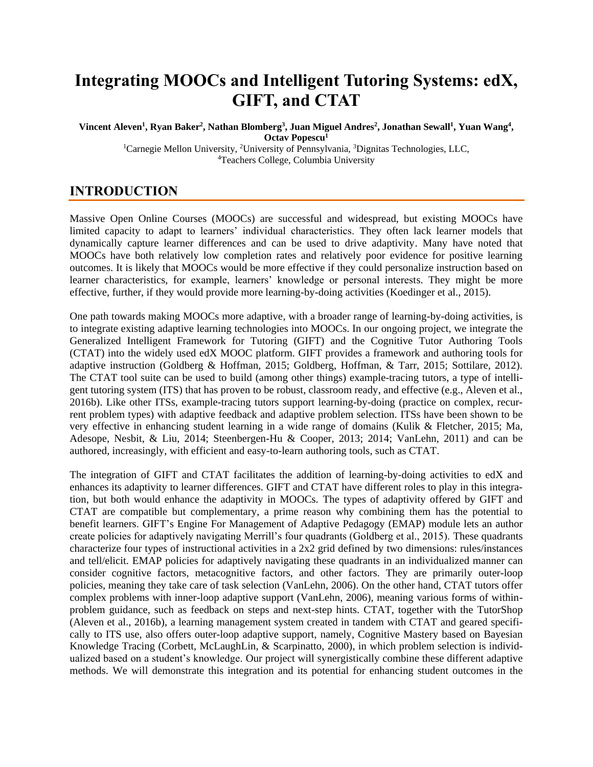# **Integrating MOOCs and Intelligent Tutoring Systems: edX, GIFT, and CTAT**

**Vincent Aleven<sup>1</sup> , Ryan Baker<sup>2</sup> , Nathan Blomberg<sup>3</sup> , Juan Miguel Andres<sup>2</sup> , Jonathan Sewall<sup>1</sup> , Yuan Wang<sup>4</sup> , Octav Popescu<sup>1</sup>** <sup>1</sup>Carnegie Mellon University, <sup>2</sup>University of Pennsylvania, <sup>3</sup>Dignitas Technologies, LLC, <sup>4</sup>Teachers College, Columbia University

**INTRODUCTION**

Massive Open Online Courses (MOOCs) are successful and widespread, but existing MOOCs have limited capacity to adapt to learners' individual characteristics. They often lack learner models that dynamically capture learner differences and can be used to drive adaptivity. Many have noted that MOOCs have both relatively low completion rates and relatively poor evidence for positive learning outcomes. It is likely that MOOCs would be more effective if they could personalize instruction based on learner characteristics, for example, learners' knowledge or personal interests. They might be more effective, further, if they would provide more learning-by-doing activities (Koedinger et al., 2015).

One path towards making MOOCs more adaptive, with a broader range of learning-by-doing activities, is to integrate existing adaptive learning technologies into MOOCs. In our ongoing project, we integrate the Generalized Intelligent Framework for Tutoring (GIFT) and the Cognitive Tutor Authoring Tools (CTAT) into the widely used edX MOOC platform. GIFT provides a framework and authoring tools for adaptive instruction (Goldberg & Hoffman, 2015; Goldberg, Hoffman, & Tarr, 2015; Sottilare, 2012). The CTAT tool suite can be used to build (among other things) example-tracing tutors, a type of intelligent tutoring system (ITS) that has proven to be robust, classroom ready, and effective (e.g., Aleven et al., 2016b). Like other ITSs, example-tracing tutors support learning-by-doing (practice on complex, recurrent problem types) with adaptive feedback and adaptive problem selection. ITSs have been shown to be very effective in enhancing student learning in a wide range of domains (Kulik & Fletcher, 2015; Ma, Adesope, Nesbit, & Liu, 2014; Steenbergen-Hu & Cooper, 2013; 2014; VanLehn, 2011) and can be authored, increasingly, with efficient and easy-to-learn authoring tools, such as CTAT.

The integration of GIFT and CTAT facilitates the addition of learning-by-doing activities to edX and enhances its adaptivity to learner differences. GIFT and CTAT have different roles to play in this integration, but both would enhance the adaptivity in MOOCs. The types of adaptivity offered by GIFT and CTAT are compatible but complementary, a prime reason why combining them has the potential to benefit learners. GIFT's Engine For Management of Adaptive Pedagogy (EMAP) module lets an author create policies for adaptively navigating Merrill's four quadrants (Goldberg et al., 2015). These quadrants characterize four types of instructional activities in a 2x2 grid defined by two dimensions: rules/instances and tell/elicit. EMAP policies for adaptively navigating these quadrants in an individualized manner can consider cognitive factors, metacognitive factors, and other factors. They are primarily outer-loop policies, meaning they take care of task selection (VanLehn, 2006). On the other hand, CTAT tutors offer complex problems with inner-loop adaptive support (VanLehn, 2006), meaning various forms of withinproblem guidance, such as feedback on steps and next-step hints. CTAT, together with the TutorShop (Aleven et al., 2016b), a learning management system created in tandem with CTAT and geared specifically to ITS use, also offers outer-loop adaptive support, namely, Cognitive Mastery based on Bayesian Knowledge Tracing (Corbett, McLaughLin, & Scarpinatto, 2000), in which problem selection is individualized based on a student's knowledge. Our project will synergistically combine these different adaptive methods. We will demonstrate this integration and its potential for enhancing student outcomes in the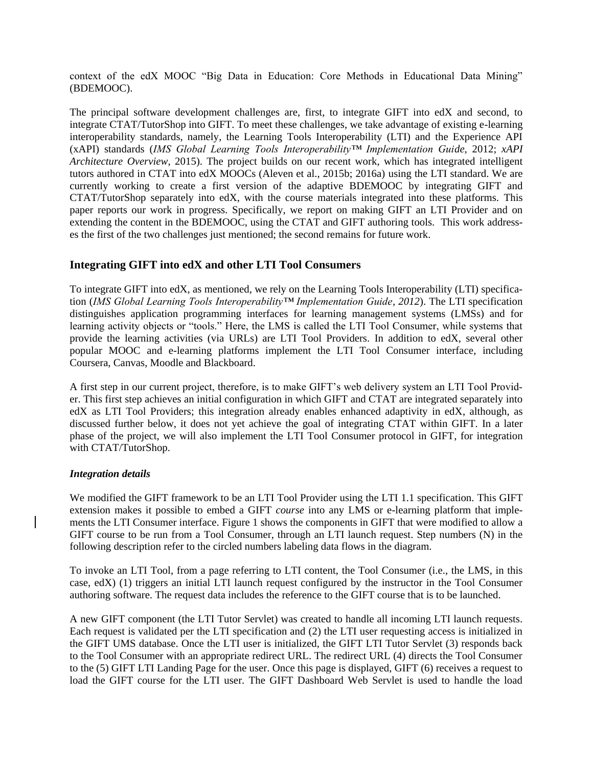context of the edX MOOC "Big Data in Education: Core Methods in Educational Data Mining" (BDEMOOC).

The principal software development challenges are, first, to integrate GIFT into edX and second, to integrate CTAT/TutorShop into GIFT. To meet these challenges, we take advantage of existing e-learning interoperability standards, namely, the Learning Tools Interoperability (LTI) and the Experience API (xAPI) standards (*IMS Global Learning Tools Interoperability™ Implementation Guide,* 2012; *xAPI Architecture Overview*, 2015). The project builds on our recent work, which has integrated intelligent tutors authored in CTAT into edX MOOCs (Aleven et al., 2015b; 2016a) using the LTI standard. We are currently working to create a first version of the adaptive BDEMOOC by integrating GIFT and CTAT/TutorShop separately into edX, with the course materials integrated into these platforms. This paper reports our work in progress. Specifically, we report on making GIFT an LTI Provider and on extending the content in the BDEMOOC, using the CTAT and GIFT authoring tools. This work addresses the first of the two challenges just mentioned; the second remains for future work.

# **Integrating GIFT into edX and other LTI Tool Consumers**

To integrate GIFT into edX, as mentioned, we rely on the Learning Tools Interoperability (LTI) specification (*IMS Global Learning Tools Interoperability™ Implementation Guide, 2012*). The LTI specification distinguishes application programming interfaces for learning management systems (LMSs) and for learning activity objects or "tools." Here, the LMS is called the LTI Tool Consumer, while systems that provide the learning activities (via URLs) are LTI Tool Providers. In addition to edX, several other popular MOOC and e-learning platforms implement the LTI Tool Consumer interface, including Coursera, Canvas, Moodle and Blackboard.

A first step in our current project, therefore, is to make GIFT's web delivery system an LTI Tool Provider. This first step achieves an initial configuration in which GIFT and CTAT are integrated separately into edX as LTI Tool Providers; this integration already enables enhanced adaptivity in edX, although, as discussed further below, it does not yet achieve the goal of integrating CTAT within GIFT. In a later phase of the project, we will also implement the LTI Tool Consumer protocol in GIFT, for integration with CTAT/TutorShop.

# *Integration details*

We modified the GIFT framework to be an LTI Tool Provider using the LTI 1.1 specification. This GIFT extension makes it possible to embed a GIFT *course* into any LMS or e-learning platform that implements the LTI Consumer interface. [Figure 1](#page-2-0) shows the components in GIFT that were modified to allow a GIFT course to be run from a Tool Consumer, through an LTI launch request. Step numbers (N) in the following description refer to the circled numbers labeling data flows in the diagram.

To invoke an LTI Tool, from a page referring to LTI content, the Tool Consumer (i.e., the LMS, in this case, edX) (1) triggers an initial LTI launch request configured by the instructor in the Tool Consumer authoring software. The request data includes the reference to the GIFT course that is to be launched.

A new GIFT component (the LTI Tutor Servlet) was created to handle all incoming LTI launch requests. Each request is validated per the LTI specification and (2) the LTI user requesting access is initialized in the GIFT UMS database. Once the LTI user is initialized, the GIFT LTI Tutor Servlet (3) responds back to the Tool Consumer with an appropriate redirect URL. The redirect URL (4) directs the Tool Consumer to the (5) GIFT LTI Landing Page for the user. Once this page is displayed, GIFT (6) receives a request to load the GIFT course for the LTI user. The GIFT Dashboard Web Servlet is used to handle the load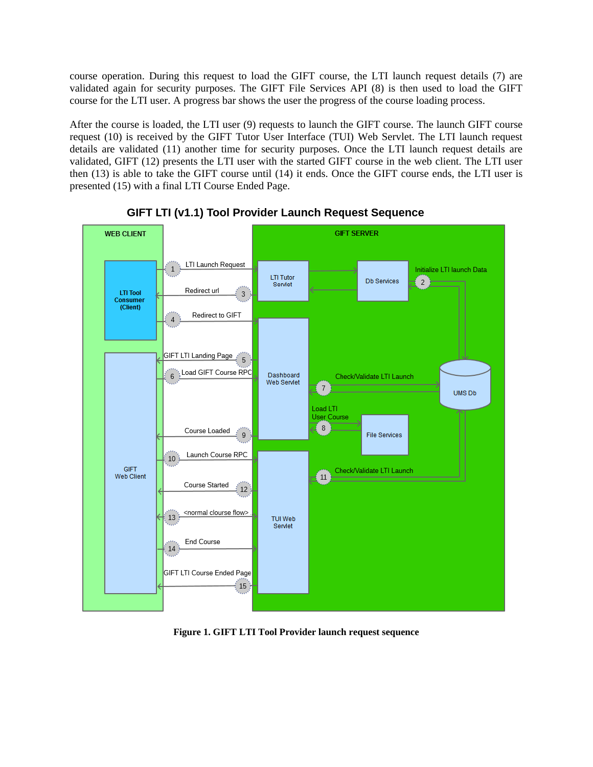course operation. During this request to load the GIFT course, the LTI launch request details (7) are validated again for security purposes. The GIFT File Services API (8) is then used to load the GIFT course for the LTI user. A progress bar shows the user the progress of the course loading process.

After the course is loaded, the LTI user (9) requests to launch the GIFT course. The launch GIFT course request (10) is received by the GIFT Tutor User Interface (TUI) Web Servlet. The LTI launch request details are validated (11) another time for security purposes. Once the LTI launch request details are validated, GIFT (12) presents the LTI user with the started GIFT course in the web client. The LTI user then (13) is able to take the GIFT course until (14) it ends. Once the GIFT course ends, the LTI user is presented (15) with a final LTI Course Ended Page.



GIFT LTI (v1.1) Tool Provider Launch Request Sequence

<span id="page-2-0"></span>**Figure 1. GIFT LTI Tool Provider launch request sequence**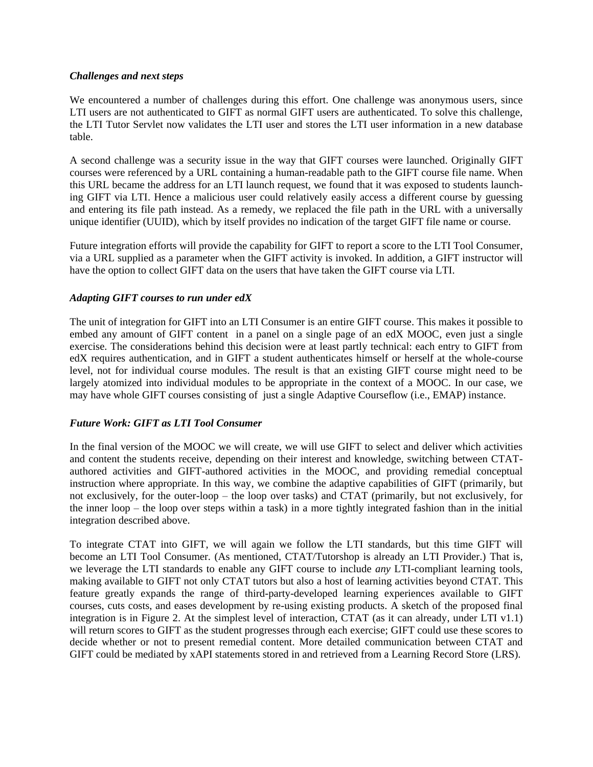### *Challenges and next steps*

We encountered a number of challenges during this effort. One challenge was anonymous users, since LTI users are not authenticated to GIFT as normal GIFT users are authenticated. To solve this challenge, the LTI Tutor Servlet now validates the LTI user and stores the LTI user information in a new database table.

A second challenge was a security issue in the way that GIFT courses were launched. Originally GIFT courses were referenced by a URL containing a human-readable path to the GIFT course file name. When this URL became the address for an LTI launch request, we found that it was exposed to students launching GIFT via LTI. Hence a malicious user could relatively easily access a different course by guessing and entering its file path instead. As a remedy, we replaced the file path in the URL with a universally unique identifier (UUID), which by itself provides no indication of the target GIFT file name or course.

Future integration efforts will provide the capability for GIFT to report a score to the LTI Tool Consumer, via a URL supplied as a parameter when the GIFT activity is invoked. In addition, a GIFT instructor will have the option to collect GIFT data on the users that have taken the GIFT course via LTI.

# *Adapting GIFT courses to run under edX*

The unit of integration for GIFT into an LTI Consumer is an entire GIFT course. This makes it possible to embed any amount of GIFT content in a panel on a single page of an edX MOOC, even just a single exercise. The considerations behind this decision were at least partly technical: each entry to GIFT from edX requires authentication, and in GIFT a student authenticates himself or herself at the whole-course level, not for individual course modules. The result is that an existing GIFT course might need to be largely atomized into individual modules to be appropriate in the context of a MOOC. In our case, we may have whole GIFT courses consisting of just a single Adaptive Courseflow (i.e., EMAP) instance.

# *Future Work: GIFT as LTI Tool Consumer*

In the final version of the MOOC we will create, we will use GIFT to select and deliver which activities and content the students receive, depending on their interest and knowledge, switching between CTATauthored activities and GIFT-authored activities in the MOOC, and providing remedial conceptual instruction where appropriate. In this way, we combine the adaptive capabilities of GIFT (primarily, but not exclusively, for the outer-loop – the loop over tasks) and CTAT (primarily, but not exclusively, for the inner loop – the loop over steps within a task) in a more tightly integrated fashion than in the initial integration described above.

To integrate CTAT into GIFT, we will again we follow the LTI standards, but this time GIFT will become an LTI Tool Consumer. (As mentioned, CTAT/Tutorshop is already an LTI Provider.) That is, we leverage the LTI standards to enable any GIFT course to include *any* LTI-compliant learning tools, making available to GIFT not only CTAT tutors but also a host of learning activities beyond CTAT. This feature greatly expands the range of third-party-developed learning experiences available to GIFT courses, cuts costs, and eases development by re-using existing products. A sketch of the proposed final integration is in [Figure 2.](#page-4-0) At the simplest level of interaction, CTAT (as it can already, under LTI v1.1) will return scores to GIFT as the student progresses through each exercise; GIFT could use these scores to decide whether or not to present remedial content. More detailed communication between CTAT and GIFT could be mediated by xAPI statements stored in and retrieved from a Learning Record Store (LRS).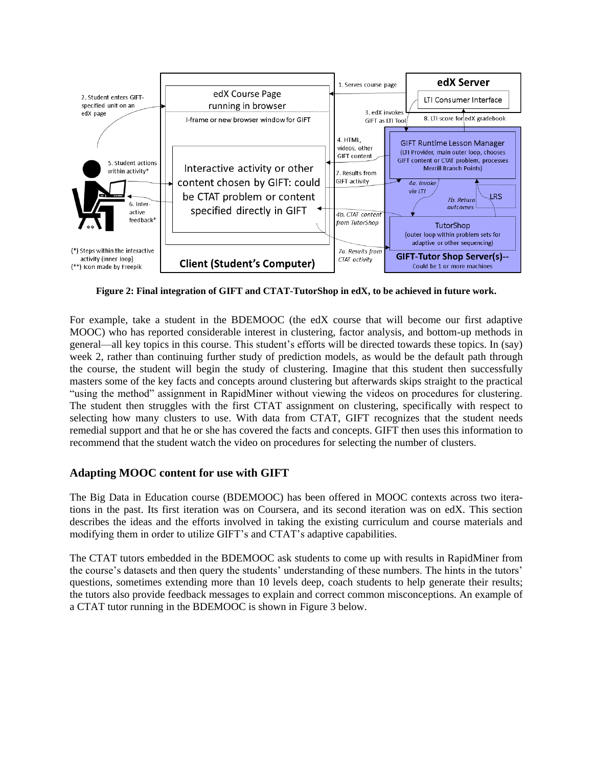

<span id="page-4-0"></span>**Figure 2: Final integration of GIFT and CTAT-TutorShop in edX, to be achieved in future work.**

For example, take a student in the BDEMOOC (the edX course that will become our first adaptive MOOC) who has reported considerable interest in clustering, factor analysis, and bottom-up methods in general—all key topics in this course. This student's efforts will be directed towards these topics. In (say) week 2, rather than continuing further study of prediction models, as would be the default path through the course, the student will begin the study of clustering. Imagine that this student then successfully masters some of the key facts and concepts around clustering but afterwards skips straight to the practical "using the method" assignment in RapidMiner without viewing the videos on procedures for clustering. The student then struggles with the first CTAT assignment on clustering, specifically with respect to selecting how many clusters to use. With data from CTAT, GIFT recognizes that the student needs remedial support and that he or she has covered the facts and concepts. GIFT then uses this information to recommend that the student watch the video on procedures for selecting the number of clusters.

# **Adapting MOOC content for use with GIFT**

The Big Data in Education course (BDEMOOC) has been offered in MOOC contexts across two iterations in the past. Its first iteration was on Coursera, and its second iteration was on edX. This section describes the ideas and the efforts involved in taking the existing curriculum and course materials and modifying them in order to utilize GIFT's and CTAT's adaptive capabilities.

The CTAT tutors embedded in the BDEMOOC ask students to come up with results in RapidMiner from the course's datasets and then query the students' understanding of these numbers. The hints in the tutors' questions, sometimes extending more than 10 levels deep, coach students to help generate their results; the tutors also provide feedback messages to explain and correct common misconceptions. An example of a CTAT tutor running in the BDEMOOC is shown in [Figure 3](#page-5-0) below.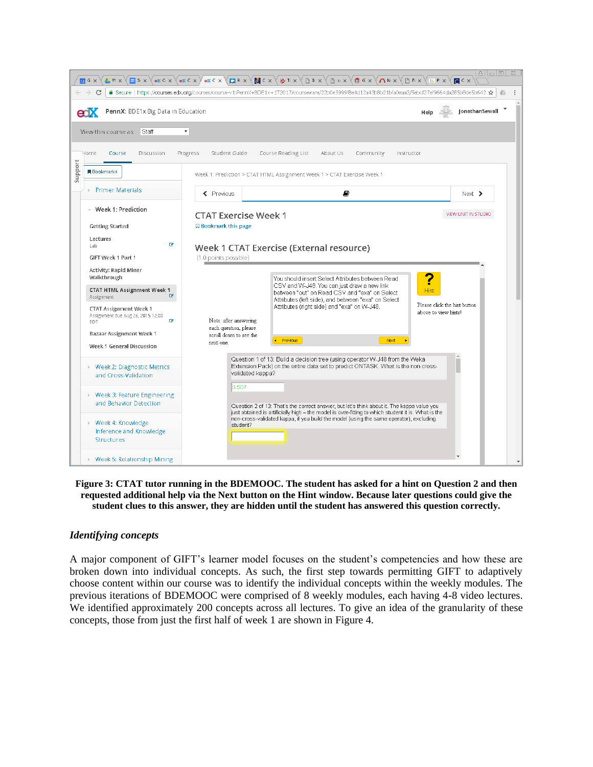

#### <span id="page-5-0"></span>**Figure 3: CTAT tutor running in the BDEMOOC. The student has asked for a hint on Question 2 and then requested additional help via the Next button on the Hint window. Because later questions could give the student clues to this answer, they are hidden until the student has answered this question correctly.**

#### *Identifying concepts*

A major component of GIFT's learner model focuses on the student's competencies and how these are broken down into individual concepts. As such, the first step towards permitting GIFT to adaptively choose content within our course was to identify the individual concepts within the weekly modules. The previous iterations of BDEMOOC were comprised of 8 weekly modules, each having 4-8 video lectures. We identified approximately 200 concepts across all lectures. To give an idea of the granularity of these concepts, those from just the first half of week 1 are shown in Figure 4.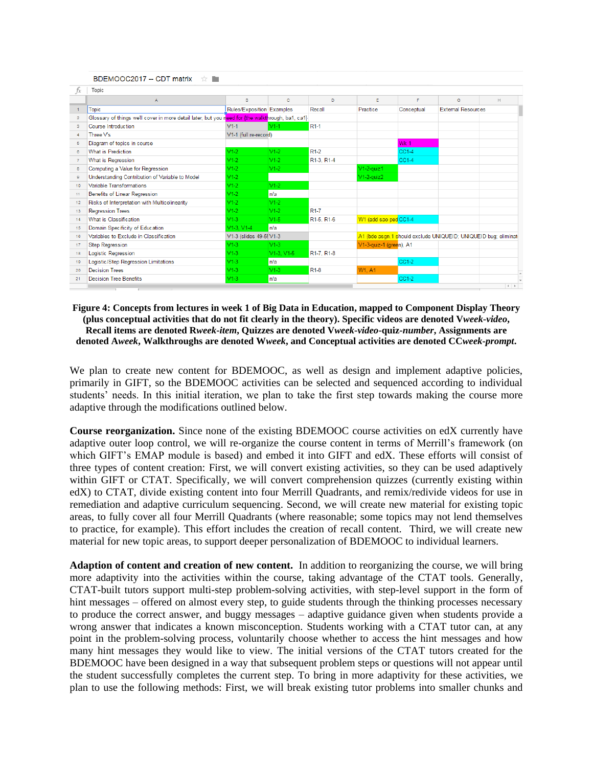| BDEMOOC2017 -- CDT matrix ☆ ■ |                                                                                                   |                           |            |                                     |                         |            |                                                                |      |  |
|-------------------------------|---------------------------------------------------------------------------------------------------|---------------------------|------------|-------------------------------------|-------------------------|------------|----------------------------------------------------------------|------|--|
| fx                            | Topic                                                                                             |                           |            |                                     |                         |            |                                                                |      |  |
|                               | A                                                                                                 | B                         | c          | D                                   | E                       | F.         | G                                                              | Ħ.   |  |
|                               | <b>Topic</b>                                                                                      | Rules/Exposition Examples |            | Recall                              | Practice                | Conceptual | <b>External Resources</b>                                      |      |  |
| $\overline{2}$                | Glossary of things we'll cover in more detail later, but you need for {the walkthrough, ba1, ca1} |                           |            |                                     |                         |            |                                                                |      |  |
| $\overline{\mathbf{3}}$       | Course Introduction                                                                               | $V1-1$                    | $V1-1$     | R <sub>1-1</sub>                    |                         |            |                                                                |      |  |
| $\Delta$                      | Three V's                                                                                         | V1-1 (full re-record)     |            |                                     |                         |            |                                                                |      |  |
| 5                             | Diagram of topics in course                                                                       |                           |            |                                     |                         | Wk 1       |                                                                |      |  |
| 6                             | What is Prediction                                                                                | $V1-2$                    | $V1-2$     | $R1-2$                              |                         | CC1-4      |                                                                |      |  |
| $\overline{7}$                | What is Regression                                                                                | $V1-2$                    | $V1-2$     | R1-3, R1-4                          |                         | $CC1-4$    |                                                                |      |  |
| 8                             | Computing a Value for Regression                                                                  | $V1-2$                    | $V1-2$     |                                     | $V1-2$ -quiz1           |            |                                                                |      |  |
| $\mathbf{Q}$                  | Understanding Contribution of Variable to Model                                                   | $V1-2$                    |            |                                     | $V1-2$ -quiz $2$        |            |                                                                |      |  |
| 10                            | Variable Transformations                                                                          | $V1-2$                    | $V1-2$     |                                     |                         |            |                                                                |      |  |
| 11                            | <b>Benefits of Linear Regression</b>                                                              | $V1-2$                    | n/a        |                                     |                         |            |                                                                |      |  |
| 12                            | Risks of Interpretation with Multicolinearity                                                     | $V1-2$                    | $V1-2$     |                                     |                         |            |                                                                |      |  |
| 13                            | <b>Regression Trees</b>                                                                           | $V1-2$                    | $V1-2$     | R <sub>1-7</sub>                    |                         |            |                                                                |      |  |
| 14                            | What is Classification                                                                            | $V1-3$                    | $V1-5$     | R1-5, R1-6                          | W1 (add sao ped CC1-4   |            |                                                                |      |  |
| 15                            | Domain Specificity of Education                                                                   | $V1-3. V1-4$              | n/a        |                                     |                         |            |                                                                |      |  |
| 16                            | Variables to Exclude in Classification                                                            | V1-3 (slides 49-5! V1-3   |            |                                     |                         |            | A1 (bde asgn.1 should exclude UNIQUEID; UNIQUEID bug; eliminat |      |  |
| 17                            | <b>Step Regression</b>                                                                            | $V1-3$                    | $V1-3$     |                                     | V1-3-quiz-1 (green), A1 |            |                                                                |      |  |
| 18                            | <b>Logistic Regression</b>                                                                        | $V1-3$                    | V1-3, V1-5 | R <sub>1</sub> -7, R <sub>1-8</sub> |                         |            |                                                                |      |  |
| 19                            | Logistic/Step Regression Limitations                                                              | $V1-3$                    | n/a        |                                     |                         | $CC1-2$    |                                                                |      |  |
| 20                            | <b>Decision Trees</b>                                                                             | $V1-3$                    | $V1-3$     | R <sub>1-8</sub>                    | W1, A1                  |            |                                                                |      |  |
| 21                            | <b>Decision Tree Benefits</b>                                                                     | $V1-3$                    | n/a        |                                     |                         | CC1-2      |                                                                |      |  |
|                               |                                                                                                   |                           |            |                                     |                         |            |                                                                | $-4$ |  |

**Figure 4: Concepts from lectures in week 1 of Big Data in Education, mapped to Component Display Theory (plus conceptual activities that do not fit clearly in the theory). Specific videos are denoted V***week***-***video***, Recall items are denoted R***week***-***item***, Quizzes are denoted V***week***-***video***-quiz-***number***, Assignments are denoted A***week***, Walkthroughs are denoted W***week***, and Conceptual activities are denoted CC***week***-***prompt***.**

We plan to create new content for BDEMOOC, as well as design and implement adaptive policies, primarily in GIFT, so the BDEMOOC activities can be selected and sequenced according to individual students' needs. In this initial iteration, we plan to take the first step towards making the course more adaptive through the modifications outlined below.

**Course reorganization.** Since none of the existing BDEMOOC course activities on edX currently have adaptive outer loop control, we will re-organize the course content in terms of Merrill's framework (on which GIFT's EMAP module is based) and embed it into GIFT and edX. These efforts will consist of three types of content creation: First, we will convert existing activities, so they can be used adaptively within GIFT or CTAT. Specifically, we will convert comprehension quizzes (currently existing within edX) to CTAT, divide existing content into four Merrill Quadrants, and remix/redivide videos for use in remediation and adaptive curriculum sequencing. Second, we will create new material for existing topic areas, to fully cover all four Merrill Quadrants (where reasonable; some topics may not lend themselves to practice, for example). This effort includes the creation of recall content. Third, we will create new material for new topic areas, to support deeper personalization of BDEMOOC to individual learners.

**Adaption of content and creation of new content.** In addition to reorganizing the course, we will bring more adaptivity into the activities within the course, taking advantage of the CTAT tools. Generally, CTAT-built tutors support multi-step problem-solving activities, with step-level support in the form of hint messages – offered on almost every step, to guide students through the thinking processes necessary to produce the correct answer, and buggy messages – adaptive guidance given when students provide a wrong answer that indicates a known misconception. Students working with a CTAT tutor can, at any point in the problem-solving process, voluntarily choose whether to access the hint messages and how many hint messages they would like to view. The initial versions of the CTAT tutors created for the BDEMOOC have been designed in a way that subsequent problem steps or questions will not appear until the student successfully completes the current step. To bring in more adaptivity for these activities, we plan to use the following methods: First, we will break existing tutor problems into smaller chunks and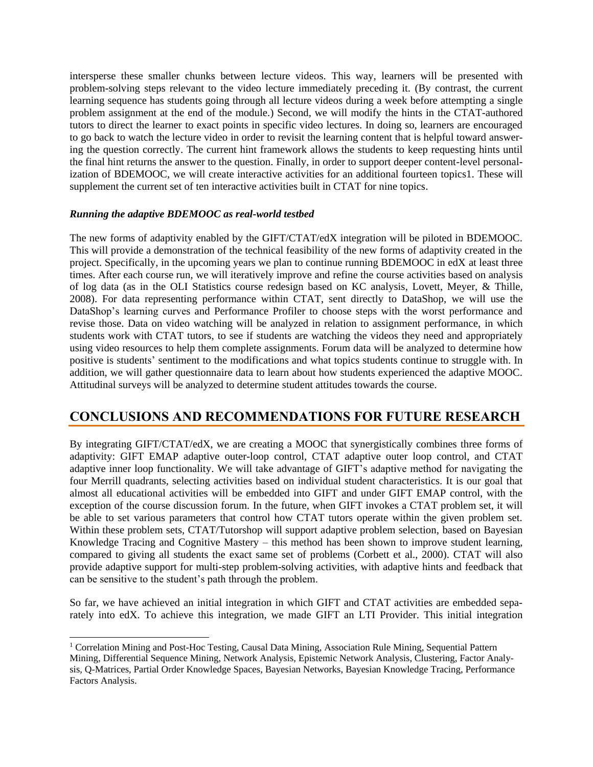intersperse these smaller chunks between lecture videos. This way, learners will be presented with problem-solving steps relevant to the video lecture immediately preceding it. (By contrast, the current learning sequence has students going through all lecture videos during a week before attempting a single problem assignment at the end of the module.) Second, we will modify the hints in the CTAT-authored tutors to direct the learner to exact points in specific video lectures. In doing so, learners are encouraged to go back to watch the lecture video in order to revisit the learning content that is helpful toward answering the question correctly. The current hint framework allows the students to keep requesting hints until the final hint returns the answer to the question. Finally, in order to support deeper content-level personalization of BDEMOOC, we will create interactive activities for an additional fourteen topics1. These will supplement the current set of ten interactive activities built in CTAT for nine topics.

# *Running the adaptive BDEMOOC as real-world testbed*

 $\overline{a}$ 

The new forms of adaptivity enabled by the GIFT/CTAT/edX integration will be piloted in BDEMOOC. This will provide a demonstration of the technical feasibility of the new forms of adaptivity created in the project. Specifically, in the upcoming years we plan to continue running BDEMOOC in edX at least three times. After each course run, we will iteratively improve and refine the course activities based on analysis of log data (as in the OLI Statistics course redesign based on KC analysis, Lovett, Meyer, & Thille, 2008). For data representing performance within CTAT, sent directly to DataShop, we will use the DataShop's learning curves and Performance Profiler to choose steps with the worst performance and revise those. Data on video watching will be analyzed in relation to assignment performance, in which students work with CTAT tutors, to see if students are watching the videos they need and appropriately using video resources to help them complete assignments. Forum data will be analyzed to determine how positive is students' sentiment to the modifications and what topics students continue to struggle with. In addition, we will gather questionnaire data to learn about how students experienced the adaptive MOOC. Attitudinal surveys will be analyzed to determine student attitudes towards the course.

# **CONCLUSIONS AND RECOMMENDATIONS FOR FUTURE RESEARCH**

By integrating GIFT/CTAT/edX, we are creating a MOOC that synergistically combines three forms of adaptivity: GIFT EMAP adaptive outer-loop control, CTAT adaptive outer loop control, and CTAT adaptive inner loop functionality. We will take advantage of GIFT's adaptive method for navigating the four Merrill quadrants, selecting activities based on individual student characteristics. It is our goal that almost all educational activities will be embedded into GIFT and under GIFT EMAP control, with the exception of the course discussion forum. In the future, when GIFT invokes a CTAT problem set, it will be able to set various parameters that control how CTAT tutors operate within the given problem set. Within these problem sets, CTAT/Tutorshop will support adaptive problem selection, based on Bayesian Knowledge Tracing and Cognitive Mastery – this method has been shown to improve student learning, compared to giving all students the exact same set of problems (Corbett et al., 2000). CTAT will also provide adaptive support for multi-step problem-solving activities, with adaptive hints and feedback that can be sensitive to the student's path through the problem.

So far, we have achieved an initial integration in which GIFT and CTAT activities are embedded separately into edX. To achieve this integration, we made GIFT an LTI Provider. This initial integration

<sup>1</sup> Correlation Mining and Post-Hoc Testing, Causal Data Mining, Association Rule Mining, Sequential Pattern Mining, Differential Sequence Mining, Network Analysis, Epistemic Network Analysis, Clustering, Factor Analysis, Q-Matrices, Partial Order Knowledge Spaces, Bayesian Networks, Bayesian Knowledge Tracing, Performance Factors Analysis.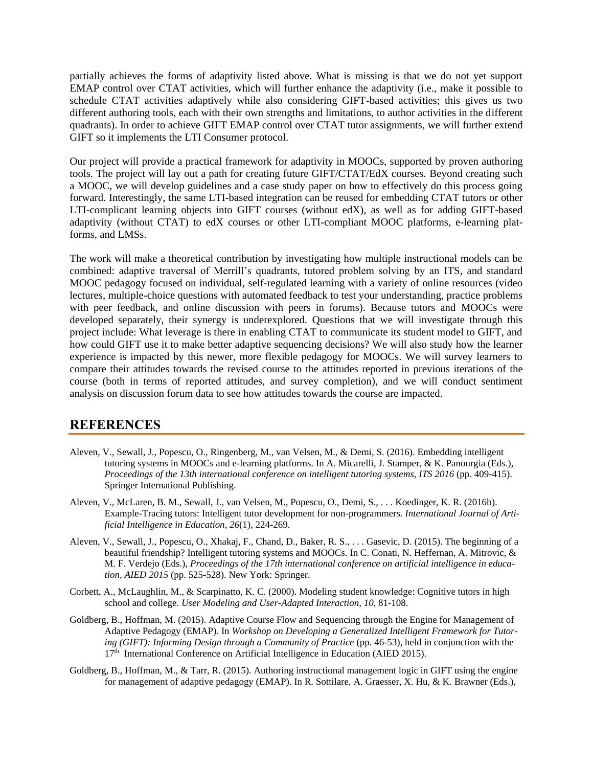partially achieves the forms of adaptivity listed above. What is missing is that we do not yet support EMAP control over CTAT activities, which will further enhance the adaptivity (i.e., make it possible to schedule CTAT activities adaptively while also considering GIFT-based activities; this gives us two different authoring tools, each with their own strengths and limitations, to author activities in the different quadrants). In order to achieve GIFT EMAP control over CTAT tutor assignments, we will further extend GIFT so it implements the LTI Consumer protocol.

Our project will provide a practical framework for adaptivity in MOOCs, supported by proven authoring tools. The project will lay out a path for creating future GIFT/CTAT/EdX courses. Beyond creating such a MOOC, we will develop guidelines and a case study paper on how to effectively do this process going forward. Interestingly, the same LTI-based integration can be reused for embedding CTAT tutors or other LTI-complicant learning objects into GIFT courses (without edX), as well as for adding GIFT-based adaptivity (without CTAT) to edX courses or other LTI-compliant MOOC platforms, e-learning platforms, and LMSs.

The work will make a theoretical contribution by investigating how multiple instructional models can be combined: adaptive traversal of Merrill's quadrants, tutored problem solving by an ITS, and standard MOOC pedagogy focused on individual, self-regulated learning with a variety of online resources (video lectures, multiple-choice questions with automated feedback to test your understanding, practice problems with peer feedback, and online discussion with peers in forums). Because tutors and MOOCs were developed separately, their synergy is underexplored. Questions that we will investigate through this project include: What leverage is there in enabling CTAT to communicate its student model to GIFT, and how could GIFT use it to make better adaptive sequencing decisions? We will also study how the learner experience is impacted by this newer, more flexible pedagogy for MOOCs. We will survey learners to compare their attitudes towards the revised course to the attitudes reported in previous iterations of the course (both in terms of reported attitudes, and survey completion), and we will conduct sentiment analysis on discussion forum data to see how attitudes towards the course are impacted.

# **REFERENCES**

- Aleven, V., Sewall, J., Popescu, O., Ringenberg, M., van Velsen, M., & Demi, S. (2016). Embedding intelligent tutoring systems in MOOCs and e-learning platforms. In A. Micarelli, J. Stamper, & K. Panourgia (Eds.), *Proceedings of the 13th international conference on intelligent tutoring systems, ITS 2016* (pp. 409-415). Springer International Publishing.
- Aleven, V., McLaren, B. M., Sewall, J., van Velsen, M., Popescu, O., Demi, S., . . . Koedinger, K. R. (2016b). Example-Tracing tutors: Intelligent tutor development for non-programmers. *International Journal of Artificial Intelligence in Education*, *26*(1), 224-269.
- Aleven, V., Sewall, J., Popescu, O., Xhakaj, F., Chand, D., Baker, R. S., . . . Gasevic, D. (2015). The beginning of a beautiful friendship? Intelligent tutoring systems and MOOCs. In C. Conati, N. Heffernan, A. Mitrovic, & M. F. Verdejo (Eds.), *Proceedings of the 17th international conference on artificial intelligence in education, AIED 2015* (pp. 525-528). New York: Springer.
- Corbett, A., McLaughlin, M., & Scarpinatto, K. C. (2000). Modeling student knowledge: Cognitive tutors in high school and college. *User Modeling and User-Adapted Interaction*, *10*, 81-108.
- Goldberg, B., Hoffman, M. (2015). Adaptive Course Flow and Sequencing through the Engine for Management of Adaptive Pedagogy (EMAP). In *Workshop on Developing a Generalized Intelligent Framework for Tutoring (GIFT): Informing Design through a Community of Practice* (pp. 46-53), held in conjunction with the 17<sup>th</sup> International Conference on Artificial Intelligence in Education (AIED 2015).
- Goldberg, B., Hoffman, M., & Tarr, R. (2015). Authoring instructional management logic in GIFT using the engine for management of adaptive pedagogy (EMAP). In R. Sottilare, A. Graesser, X. Hu, & K. Brawner (Eds.),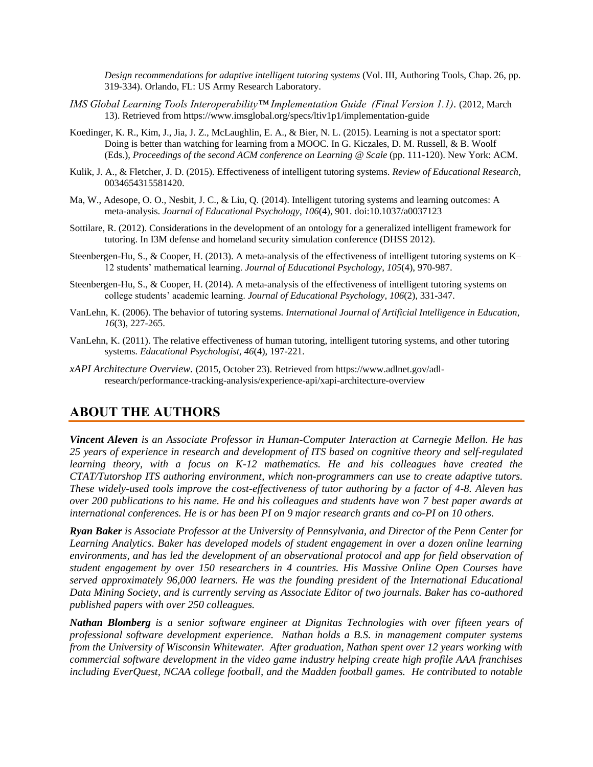*Design recommendations for adaptive intelligent tutoring systems* (Vol. III, Authoring Tools, Chap. 26, pp. 319-334). Orlando, FL: US Army Research Laboratory.

- *IMS Global Learning Tools Interoperability™ Implementation Guide (Final Version 1.1).* (2012, March 13). Retrieved fro[m https://www.imsglobal.org/specs/ltiv1p1/implementation-guide](https://www.imsglobal.org/specs/ltiv1p1/implementation-guide)
- Koedinger, K. R., Kim, J., Jia, J. Z., McLaughlin, E. A., & Bier, N. L. (2015). Learning is not a spectator sport: Doing is better than watching for learning from a MOOC. In G. Kiczales, D. M. Russell, & B. Woolf (Eds.), *Proceedings of the second ACM conference on Learning @ Scale* (pp. 111-120). New York: ACM.
- Kulik, J. A., & Fletcher, J. D. (2015). Effectiveness of intelligent tutoring systems. *Review of Educational Research*, 0034654315581420.
- Ma, W., Adesope, O. O., Nesbit, J. C., & Liu, Q. (2014). Intelligent tutoring systems and learning outcomes: A meta-analysis. *Journal of Educational Psychology*, *106*(4), 901. doi:10.1037/a0037123
- Sottilare, R. (2012). Considerations in the development of an ontology for a generalized intelligent framework for tutoring. In I3M defense and homeland security simulation conference (DHSS 2012).
- Steenbergen-Hu, S., & Cooper, H. (2013). A meta-analysis of the effectiveness of intelligent tutoring systems on K– 12 students' mathematical learning. *Journal of Educational Psychology*, *105*(4), 970-987.
- Steenbergen-Hu, S., & Cooper, H. (2014). A meta-analysis of the effectiveness of intelligent tutoring systems on college students' academic learning. *Journal of Educational Psychology*, *106*(2), 331-347.
- VanLehn, K. (2006). The behavior of tutoring systems. *International Journal of Artificial Intelligence in Education*, *16*(3), 227-265.
- VanLehn, K. (2011). The relative effectiveness of human tutoring, intelligent tutoring systems, and other tutoring systems. *Educational Psychologist*, *46*(4), 197-221.
- *xAPI Architecture Overview.* (2015, October 23). Retrieved from https://www.adlnet.gov/adlresearch/performance-tracking-analysis/experience-api/xapi-architecture-overview

# **ABOUT THE AUTHORS**

*Vincent Aleven is an Associate Professor in Human-Computer Interaction at Carnegie Mellon. He has 25 years of experience in research and development of ITS based on cognitive theory and self-regulated learning theory, with a focus on K-12 mathematics. He and his colleagues have created the CTAT/Tutorshop ITS authoring environment, which non-programmers can use to create adaptive tutors. These widely-used tools improve the cost-effectiveness of tutor authoring by a factor of 4-8. Aleven has over 200 publications to his name. He and his colleagues and students have won 7 best paper awards at international conferences. He is or has been PI on 9 major research grants and co-PI on 10 others.* 

*Ryan Baker is Associate Professor at the University of Pennsylvania, and Director of the Penn Center for Learning Analytics. Baker has developed models of student engagement in over a dozen online learning environments, and has led the development of an observational protocol and app for field observation of student engagement by over 150 researchers in 4 countries. His Massive Online Open Courses have served approximately 96,000 learners. He was the founding president of the International Educational Data Mining Society, and is currently serving as Associate Editor of two journals. Baker has co-authored published papers with over 250 colleagues.*

*Nathan Blomberg is a senior software engineer at Dignitas Technologies with over fifteen years of professional software development experience. Nathan holds a B.S. in management computer systems from the University of Wisconsin Whitewater. After graduation, Nathan spent over 12 years working with commercial software development in the video game industry helping create high profile AAA franchises including EverQuest, NCAA college football, and the Madden football games. He contributed to notable*